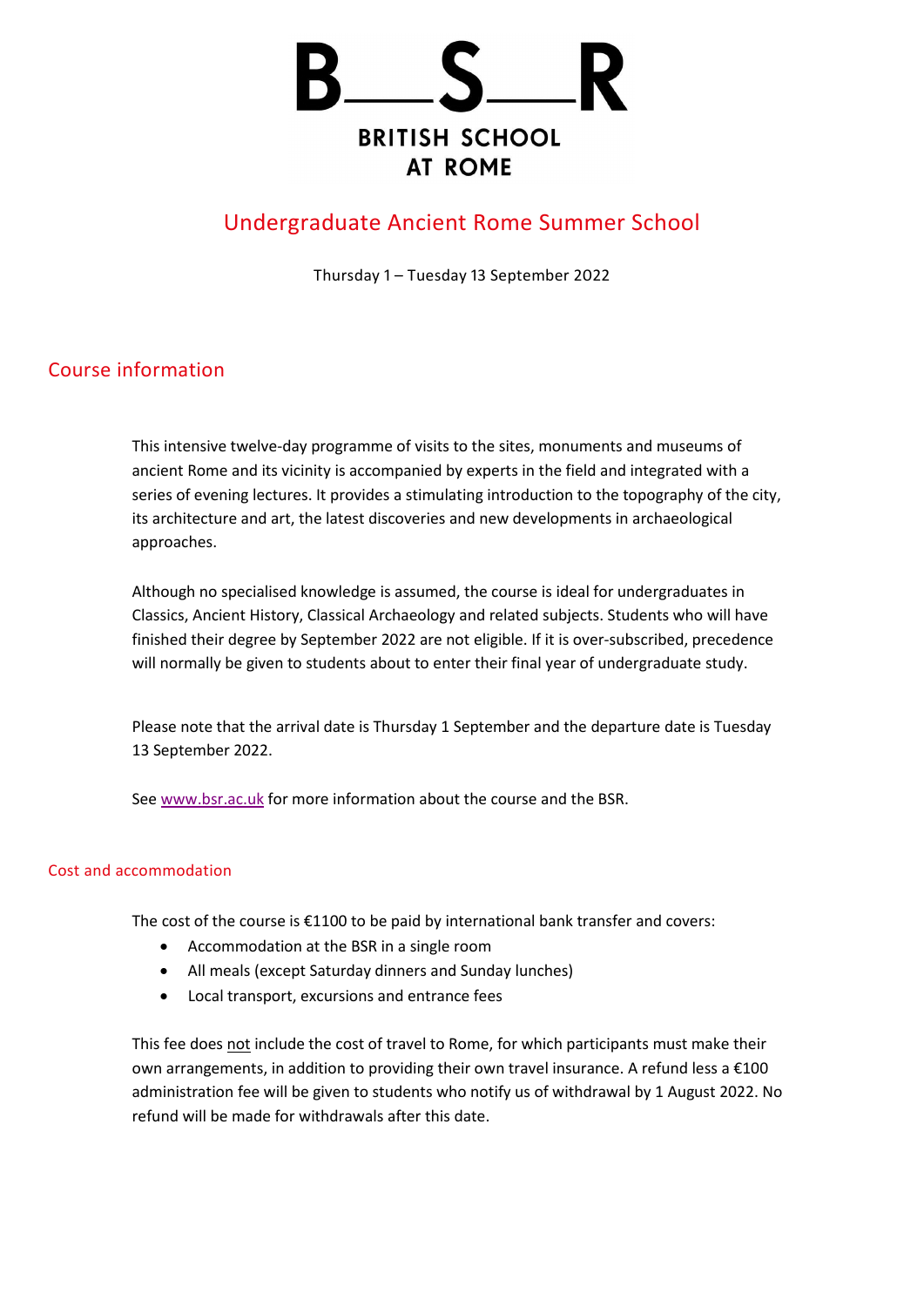

# Undergraduate Ancient Rome Summer School

Thursday 1 – Tuesday 13 September 2022

## Course information

This intensive twelve-day programme of visits to the sites, monuments and museums of ancient Rome and its vicinity is accompanied by experts in the field and integrated with a series of evening lectures. It provides a stimulating introduction to the topography of the city, its architecture and art, the latest discoveries and new developments in archaeological approaches.

Although no specialised knowledge is assumed, the course is ideal for undergraduates in Classics, Ancient History, Classical Archaeology and related subjects. Students who will have finished their degree by September 2022 are not eligible. If it is over-subscribed, precedence will normally be given to students about to enter their final year of undergraduate study.

Please note that the arrival date is Thursday 1 September and the departure date is Tuesday 13 September 2022.

Se[e www.bsr.ac.uk](http://www.bsr.ac.uk/) for more information about the course and the BSR.

### Cost and accommodation

The cost of the course is  $£1100$  to be paid by international bank transfer and covers:

- Accommodation at the BSR in a single room
- All meals (except Saturday dinners and Sunday lunches)
- Local transport, excursions and entrance fees

This fee does not include the cost of travel to Rome, for which participants must make their own arrangements, in addition to providing their own travel insurance. A refund less a €100 administration fee will be given to students who notify us of withdrawal by 1 August 2022. No refund will be made for withdrawals after this date.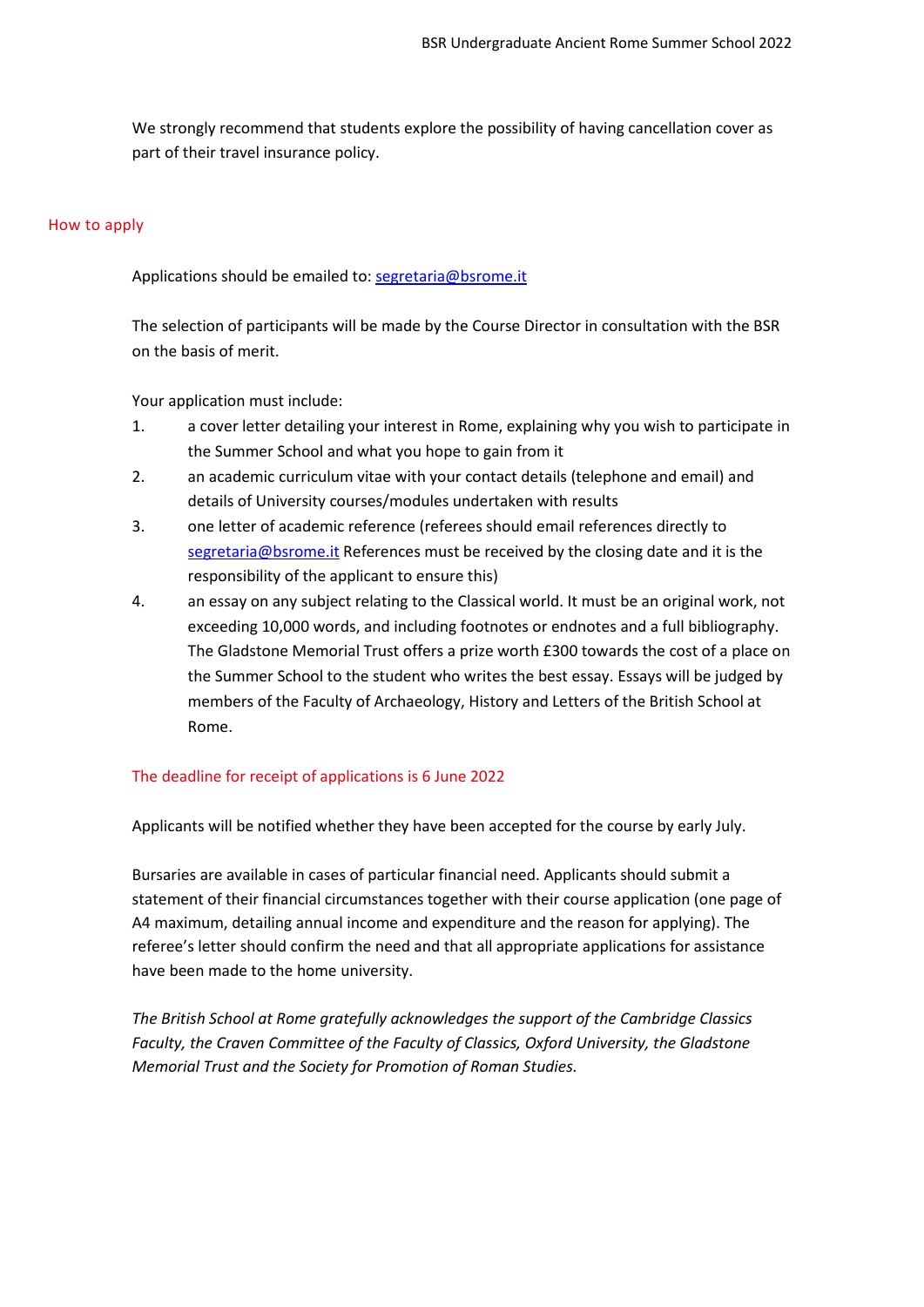We strongly recommend that students explore the possibility of having cancellation cover as part of their travel insurance policy.

#### How to apply

Applications should be emailed to: [segretaria@bsrome.it](mailto:segretaria@bsrome.it)

The selection of participants will be made by the Course Director in consultation with the BSR on the basis of merit.

Your application must include:

- 1. a cover letter detailing your interest in Rome, explaining why you wish to participate in the Summer School and what you hope to gain from it
- 2. an academic curriculum vitae with your contact details (telephone and email) and details of University courses/modules undertaken with results
- 3. one letter of academic reference (referees should email references directly to [segretaria@bsrome.it](mailto:segretaria@bsrome.it) References must be received by the closing date and it is the responsibility of the applicant to ensure this)
- 4. an essay on any subject relating to the Classical world. It must be an original work, not exceeding 10,000 words, and including footnotes or endnotes and a full bibliography. The Gladstone Memorial Trust offers a prize worth £300 towards the cost of a place on the Summer School to the student who writes the best essay. Essays will be judged by members of the Faculty of Archaeology, History and Letters of the British School at Rome.

#### The deadline for receipt of applications is 6 June 2022

Applicants will be notified whether they have been accepted for the course by early July.

Bursaries are available in cases of particular financial need. Applicants should submit a statement of their financial circumstances together with their course application (one page of A4 maximum, detailing annual income and expenditure and the reason for applying). The referee's letter should confirm the need and that all appropriate applications for assistance have been made to the home university.

*The British School at Rome gratefully acknowledges the support of the Cambridge Classics Faculty, the Craven Committee of the Faculty of Classics, Oxford University, the Gladstone Memorial Trust and the Society for Promotion of Roman Studies.*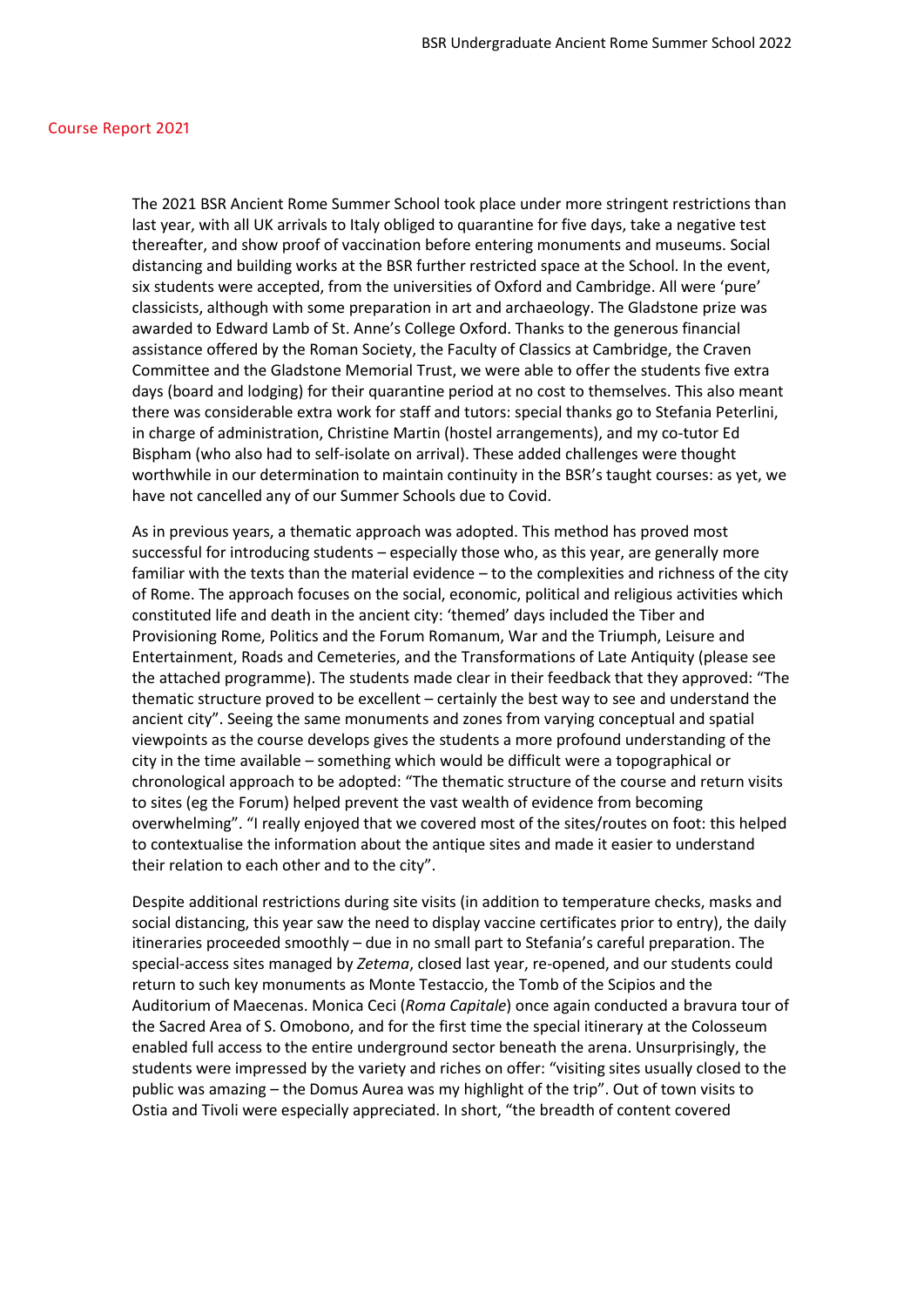#### Course Report 2021

The 2021 BSR Ancient Rome Summer School took place under more stringent restrictions than last year, with all UK arrivals to Italy obliged to quarantine for five days, take a negative test thereafter, and show proof of vaccination before entering monuments and museums. Social distancing and building works at the BSR further restricted space at the School. In the event, six students were accepted, from the universities of Oxford and Cambridge. All were 'pure' classicists, although with some preparation in art and archaeology. The Gladstone prize was awarded to Edward Lamb of St. Anne's College Oxford. Thanks to the generous financial assistance offered by the Roman Society, the Faculty of Classics at Cambridge, the Craven Committee and the Gladstone Memorial Trust, we were able to offer the students five extra days (board and lodging) for their quarantine period at no cost to themselves. This also meant there was considerable extra work for staff and tutors: special thanks go to Stefania Peterlini, in charge of administration, Christine Martin (hostel arrangements), and my co-tutor Ed Bispham (who also had to self-isolate on arrival). These added challenges were thought worthwhile in our determination to maintain continuity in the BSR's taught courses: as yet, we have not cancelled any of our Summer Schools due to Covid.

As in previous years, a thematic approach was adopted. This method has proved most successful for introducing students – especially those who, as this year, are generally more familiar with the texts than the material evidence – to the complexities and richness of the city of Rome. The approach focuses on the social, economic, political and religious activities which constituted life and death in the ancient city: 'themed' days included the Tiber and Provisioning Rome, Politics and the Forum Romanum, War and the Triumph, Leisure and Entertainment, Roads and Cemeteries, and the Transformations of Late Antiquity (please see the attached programme). The students made clear in their feedback that they approved: "The thematic structure proved to be excellent – certainly the best way to see and understand the ancient city". Seeing the same monuments and zones from varying conceptual and spatial viewpoints as the course develops gives the students a more profound understanding of the city in the time available – something which would be difficult were a topographical or chronological approach to be adopted: "The thematic structure of the course and return visits to sites (eg the Forum) helped prevent the vast wealth of evidence from becoming overwhelming". "I really enjoyed that we covered most of the sites/routes on foot: this helped to contextualise the information about the antique sites and made it easier to understand their relation to each other and to the city".

Despite additional restrictions during site visits (in addition to temperature checks, masks and social distancing, this year saw the need to display vaccine certificates prior to entry), the daily itineraries proceeded smoothly – due in no small part to Stefania's careful preparation. The special-access sites managed by *Zetema*, closed last year, re-opened, and our students could return to such key monuments as Monte Testaccio, the Tomb of the Scipios and the Auditorium of Maecenas. Monica Ceci (*Roma Capitale*) once again conducted a bravura tour of the Sacred Area of S. Omobono, and for the first time the special itinerary at the Colosseum enabled full access to the entire underground sector beneath the arena. Unsurprisingly, the students were impressed by the variety and riches on offer: "visiting sites usually closed to the public was amazing – the Domus Aurea was my highlight of the trip". Out of town visits to Ostia and Tivoli were especially appreciated. In short, "the breadth of content covered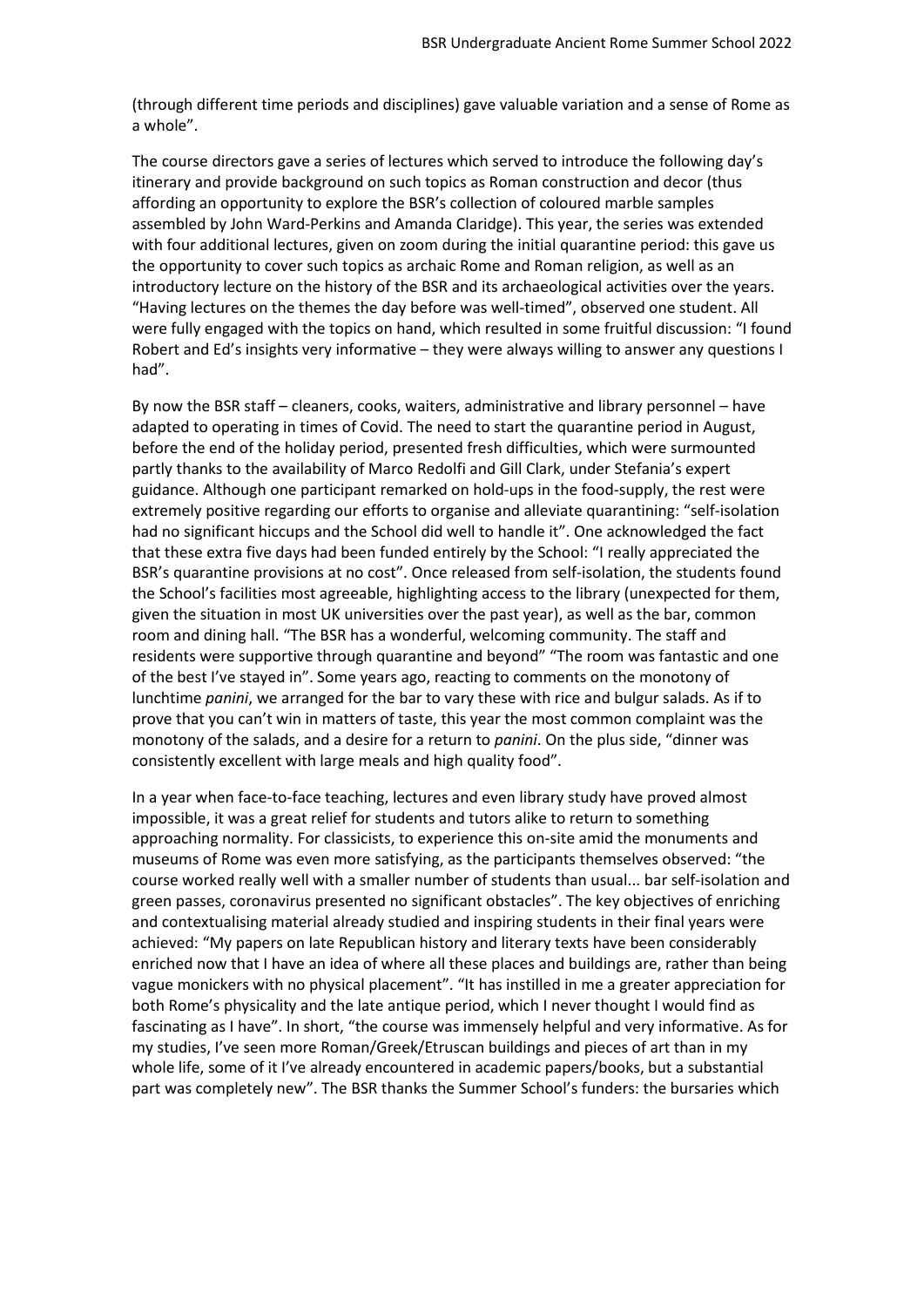(through different time periods and disciplines) gave valuable variation and a sense of Rome as a whole".

The course directors gave a series of lectures which served to introduce the following day's itinerary and provide background on such topics as Roman construction and decor (thus affording an opportunity to explore the BSR's collection of coloured marble samples assembled by John Ward-Perkins and Amanda Claridge). This year, the series was extended with four additional lectures, given on zoom during the initial quarantine period: this gave us the opportunity to cover such topics as archaic Rome and Roman religion, as well as an introductory lecture on the history of the BSR and its archaeological activities over the years. "Having lectures on the themes the day before was well-timed", observed one student. All were fully engaged with the topics on hand, which resulted in some fruitful discussion: "I found Robert and Ed's insights very informative – they were always willing to answer any questions I had".

By now the BSR staff – cleaners, cooks, waiters, administrative and library personnel – have adapted to operating in times of Covid. The need to start the quarantine period in August, before the end of the holiday period, presented fresh difficulties, which were surmounted partly thanks to the availability of Marco Redolfi and Gill Clark, under Stefania's expert guidance. Although one participant remarked on hold-ups in the food-supply, the rest were extremely positive regarding our efforts to organise and alleviate quarantining: "self-isolation had no significant hiccups and the School did well to handle it". One acknowledged the fact that these extra five days had been funded entirely by the School: "I really appreciated the BSR's quarantine provisions at no cost". Once released from self-isolation, the students found the School's facilities most agreeable, highlighting access to the library (unexpected for them, given the situation in most UK universities over the past year), as well as the bar, common room and dining hall. "The BSR has a wonderful, welcoming community. The staff and residents were supportive through quarantine and beyond" "The room was fantastic and one of the best I've stayed in". Some years ago, reacting to comments on the monotony of lunchtime *panini*, we arranged for the bar to vary these with rice and bulgur salads. As if to prove that you can't win in matters of taste, this year the most common complaint was the monotony of the salads, and a desire for a return to *panini*. On the plus side, "dinner was consistently excellent with large meals and high quality food".

In a year when face-to-face teaching, lectures and even library study have proved almost impossible, it was a great relief for students and tutors alike to return to something approaching normality. For classicists, to experience this on-site amid the monuments and museums of Rome was even more satisfying, as the participants themselves observed: "the course worked really well with a smaller number of students than usual... bar self-isolation and green passes, coronavirus presented no significant obstacles". The key objectives of enriching and contextualising material already studied and inspiring students in their final years were achieved: "My papers on late Republican history and literary texts have been considerably enriched now that I have an idea of where all these places and buildings are, rather than being vague monickers with no physical placement". "It has instilled in me a greater appreciation for both Rome's physicality and the late antique period, which I never thought I would find as fascinating as I have". In short, "the course was immensely helpful and very informative. As for my studies, I've seen more Roman/Greek/Etruscan buildings and pieces of art than in my whole life, some of it I've already encountered in academic papers/books, but a substantial part was completely new". The BSR thanks the Summer School's funders: the bursaries which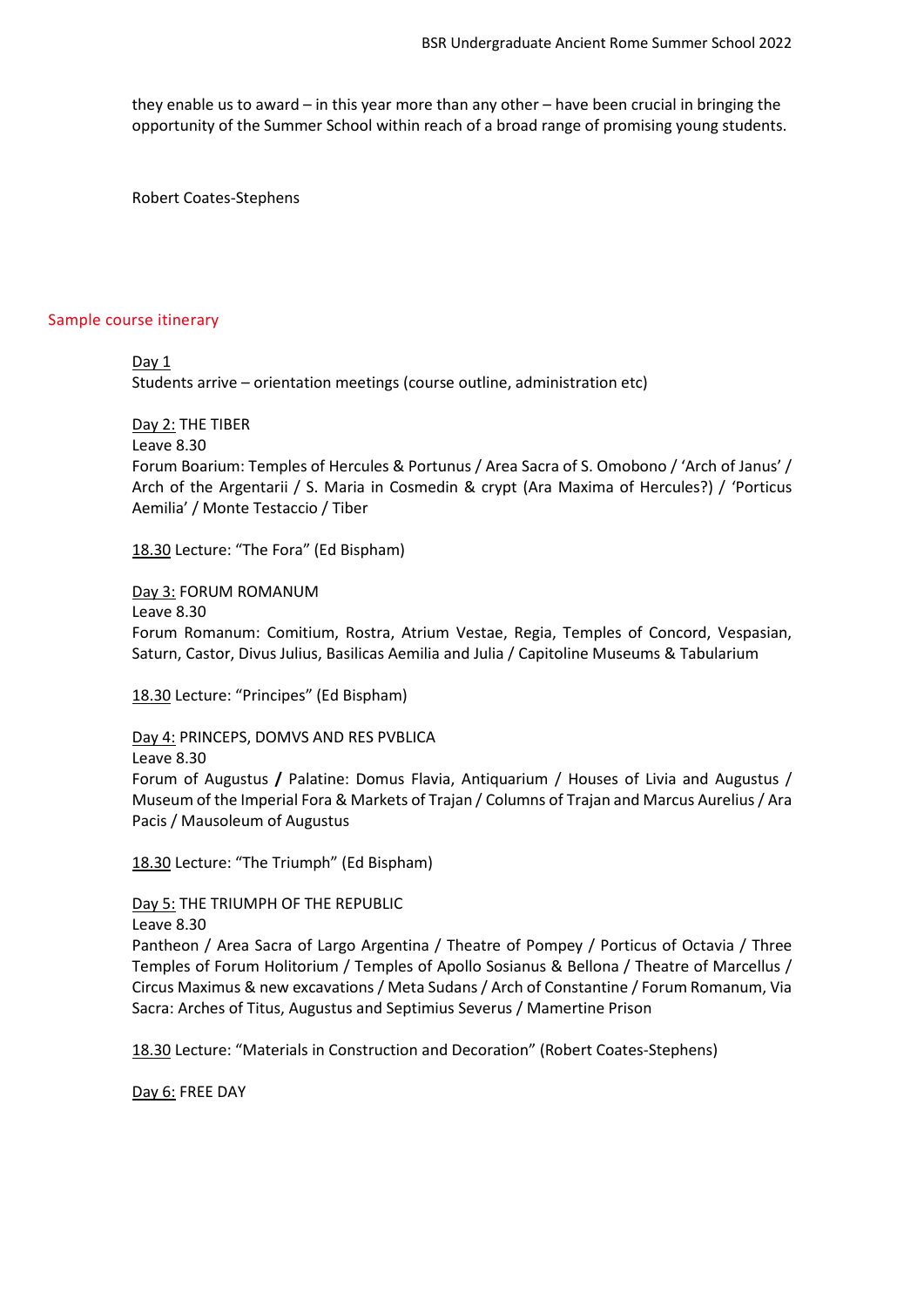they enable us to award – in this year more than any other – have been crucial in bringing the opportunity of the Summer School within reach of a broad range of promising young students.

Robert Coates-Stephens

#### Sample course itinerary

Day 1

Students arrive – orientation meetings (course outline, administration etc)

Day 2: THE TIBER

Leave 8.30

Forum Boarium: Temples of Hercules & Portunus / Area Sacra of S. Omobono / 'Arch of Janus' / Arch of the Argentarii / S. Maria in Cosmedin & crypt (Ara Maxima of Hercules?) / 'Porticus Aemilia' / Monte Testaccio / Tiber

18.30 Lecture: "The Fora" (Ed Bispham)

Day 3: FORUM ROMANUM Leave 8.30 Forum Romanum: Comitium, Rostra, Atrium Vestae, Regia, Temples of Concord, Vespasian, Saturn, Castor, Divus Julius, Basilicas Aemilia and Julia / Capitoline Museums & Tabularium

18.30 Lecture: "Principes" (Ed Bispham)

Day 4: PRINCEPS, DOMVS AND RES PVBLICA Leave 8.30

Forum of Augustus **/** Palatine: Domus Flavia, Antiquarium / Houses of Livia and Augustus / Museum of the Imperial Fora & Markets of Trajan / Columns of Trajan and Marcus Aurelius / Ara Pacis / Mausoleum of Augustus

18.30 Lecture: "The Triumph" (Ed Bispham)

Day 5: THE TRIUMPH OF THE REPUBLIC Leave 8.30

Pantheon / Area Sacra of Largo Argentina / Theatre of Pompey / Porticus of Octavia / Three Temples of Forum Holitorium / Temples of Apollo Sosianus & Bellona / Theatre of Marcellus / Circus Maximus & new excavations / Meta Sudans / Arch of Constantine / Forum Romanum, Via Sacra: Arches of Titus, Augustus and Septimius Severus / Mamertine Prison

18.30 Lecture: "Materials in Construction and Decoration" (Robert Coates-Stephens)

Day 6: FREE DAY